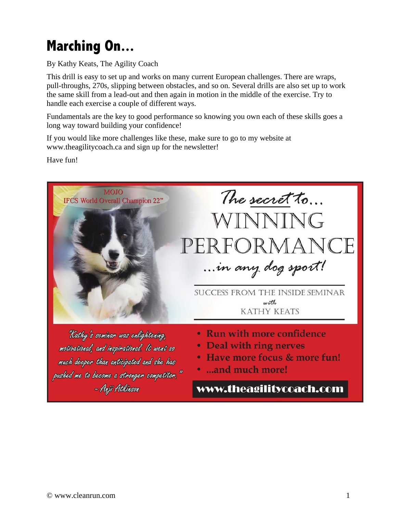## **Marching On...**

By Kathy Keats, The Agility Coach

This drill is easy to set up and works on many current European challenges. There are wraps, pull-throughs, 270s, slipping between obstacles, and so on. Several drills are also set up to work the same skill from a lead-out and then again in motion in the middle of the exercise. Try to handle each exercise a couple of different ways.

Fundamentals are the key to good performance so knowing you own each of these skills goes a long way toward building your confidence!

If you would like more challenges like these, make sure to go to my website at www.theagilitycoach.ca and sign up for the newsletter!

Have fun!



- Deal with ring nerves
- Have more focus & more fun!
- · ...and much more!

www.theagilitycoach.com

much deeper than anticipated and she has

pushed me to become a stronger competitor."

- Anji Atkinson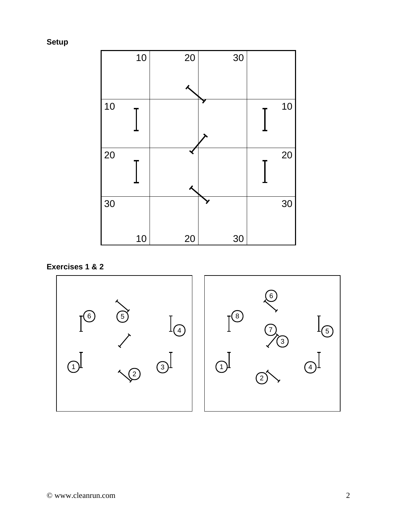**Setup** 



**Exercises 1 & 2** 

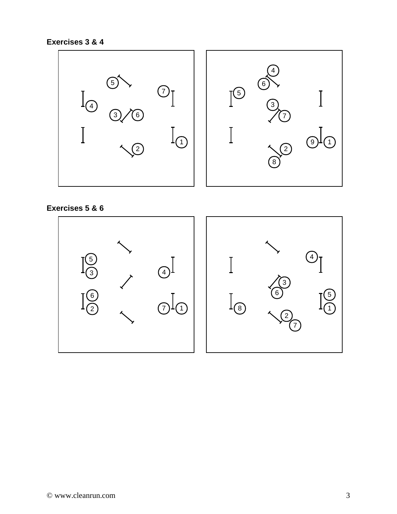**Exercises 3 & 4** 



**Exercises 5 & 6**